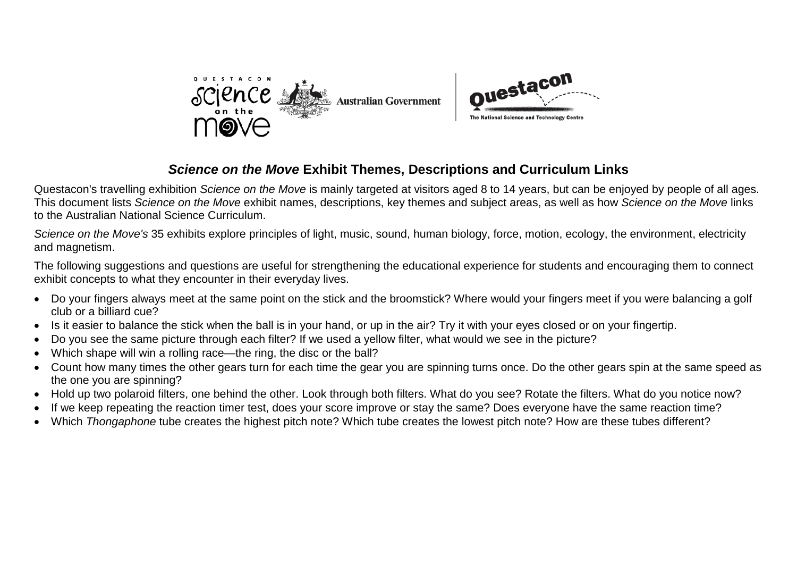



# *Science on the Move* **Exhibit Themes, Descriptions and Curriculum Links**

Questacon's travelling exhibition *Science on the Move* is mainly targeted at visitors aged 8 to 14 years, but can be enjoyed by people of all ages. This document lists *Science on the Move* exhibit names, descriptions, key themes and subject areas, as well as how *Science on the Move* links to the Australian National Science Curriculum.

*Science on the Move's* 35 exhibits explore principles of light, music, sound, human biology, force, motion, ecology, the environment, electricity and magnetism.

The following suggestions and questions are useful for strengthening the educational experience for students and encouraging them to connect exhibit concepts to what they encounter in their everyday lives.

- Do your fingers always meet at the same point on the stick and the broomstick? Where would your fingers meet if you were balancing a golf club or a billiard cue?
- Is it easier to balance the stick when the ball is in your hand, or up in the air? Try it with your eyes closed or on your fingertip.
- Do you see the same picture through each filter? If we used a yellow filter, what would we see in the picture?
- Which shape will win a rolling race—the ring, the disc or the ball?
- Count how many times the other gears turn for each time the gear you are spinning turns once. Do the other gears spin at the same speed as the one you are spinning?
- Hold up two polaroid filters, one behind the other. Look through both filters. What do you see? Rotate the filters. What do you notice now?
- If we keep repeating the reaction timer test, does your score improve or stay the same? Does everyone have the same reaction time?
- Which *Thongaphone* tube creates the highest pitch note? Which tube creates the lowest pitch note? How are these tubes different?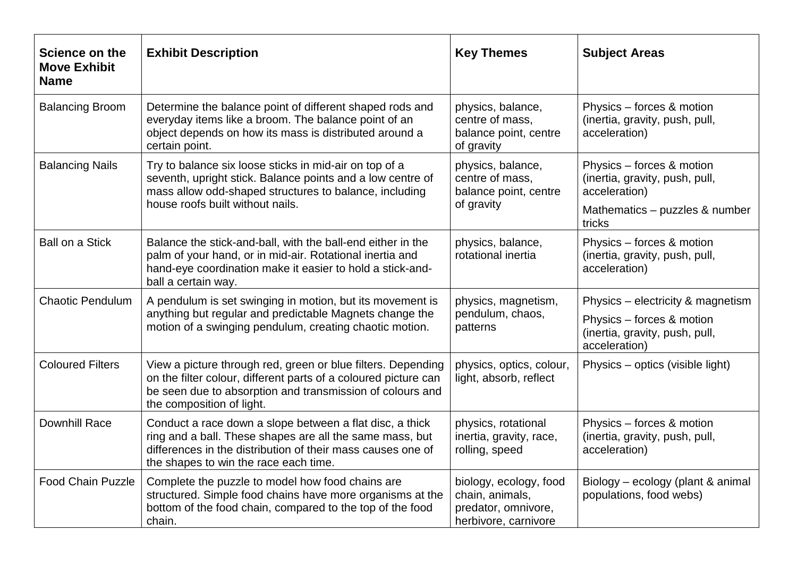| Science on the<br><b>Move Exhibit</b><br><b>Name</b> | <b>Exhibit Description</b>                                                                                                                                                                                                   | <b>Key Themes</b>                                                                        | <b>Subject Areas</b>                                                                                                     |
|------------------------------------------------------|------------------------------------------------------------------------------------------------------------------------------------------------------------------------------------------------------------------------------|------------------------------------------------------------------------------------------|--------------------------------------------------------------------------------------------------------------------------|
| <b>Balancing Broom</b>                               | Determine the balance point of different shaped rods and<br>everyday items like a broom. The balance point of an<br>object depends on how its mass is distributed around a<br>certain point.                                 | physics, balance,<br>centre of mass,<br>balance point, centre<br>of gravity              | Physics – forces & motion<br>(inertia, gravity, push, pull,<br>acceleration)                                             |
| <b>Balancing Nails</b>                               | Try to balance six loose sticks in mid-air on top of a<br>seventh, upright stick. Balance points and a low centre of<br>mass allow odd-shaped structures to balance, including<br>house roofs built without nails.           | physics, balance,<br>centre of mass,<br>balance point, centre<br>of gravity              | Physics - forces & motion<br>(inertia, gravity, push, pull,<br>acceleration)<br>Mathematics - puzzles & number<br>tricks |
| <b>Ball on a Stick</b>                               | Balance the stick-and-ball, with the ball-end either in the<br>palm of your hand, or in mid-air. Rotational inertia and<br>hand-eye coordination make it easier to hold a stick-and-<br>ball a certain way.                  | physics, balance,<br>rotational inertia                                                  | Physics - forces & motion<br>(inertia, gravity, push, pull,<br>acceleration)                                             |
| <b>Chaotic Pendulum</b>                              | A pendulum is set swinging in motion, but its movement is<br>anything but regular and predictable Magnets change the<br>motion of a swinging pendulum, creating chaotic motion.                                              | physics, magnetism,<br>pendulum, chaos,<br>patterns                                      | Physics – electricity & magnetism<br>Physics - forces & motion<br>(inertia, gravity, push, pull,<br>acceleration)        |
| <b>Coloured Filters</b>                              | View a picture through red, green or blue filters. Depending<br>on the filter colour, different parts of a coloured picture can<br>be seen due to absorption and transmission of colours and<br>the composition of light.    | physics, optics, colour,<br>light, absorb, reflect                                       | Physics – optics (visible light)                                                                                         |
| <b>Downhill Race</b>                                 | Conduct a race down a slope between a flat disc, a thick<br>ring and a ball. These shapes are all the same mass, but<br>differences in the distribution of their mass causes one of<br>the shapes to win the race each time. | physics, rotational<br>inertia, gravity, race,<br>rolling, speed                         | Physics – forces & motion<br>(inertia, gravity, push, pull,<br>acceleration)                                             |
| Food Chain Puzzle                                    | Complete the puzzle to model how food chains are<br>structured. Simple food chains have more organisms at the<br>bottom of the food chain, compared to the top of the food<br>chain.                                         | biology, ecology, food<br>chain, animals,<br>predator, omnivore,<br>herbivore, carnivore | Biology - ecology (plant & animal<br>populations, food webs)                                                             |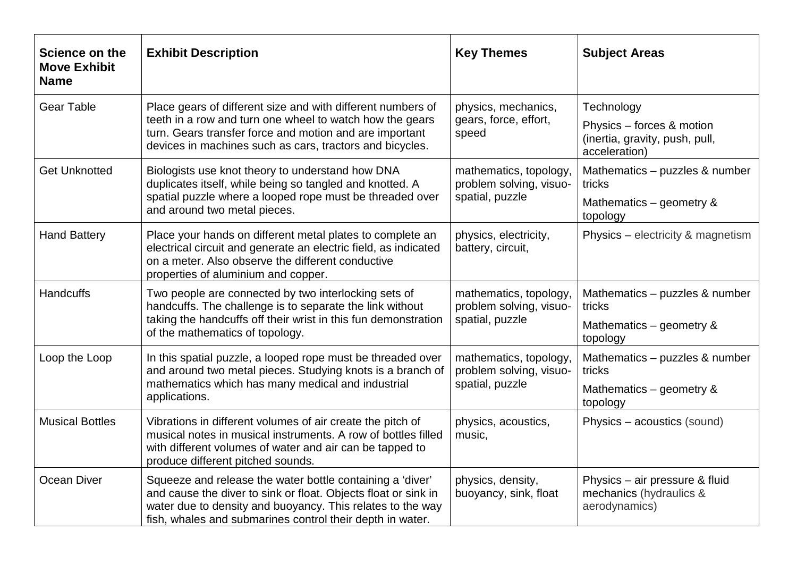| Science on the<br><b>Move Exhibit</b><br><b>Name</b> | <b>Exhibit Description</b>                                                                                                                                                                                                                             | <b>Key Themes</b>                                                    | <b>Subject Areas</b>                                                                       |
|------------------------------------------------------|--------------------------------------------------------------------------------------------------------------------------------------------------------------------------------------------------------------------------------------------------------|----------------------------------------------------------------------|--------------------------------------------------------------------------------------------|
| <b>Gear Table</b>                                    | Place gears of different size and with different numbers of<br>teeth in a row and turn one wheel to watch how the gears<br>turn. Gears transfer force and motion and are important<br>devices in machines such as cars, tractors and bicycles.         | physics, mechanics,<br>gears, force, effort,<br>speed                | Technology<br>Physics - forces & motion<br>(inertia, gravity, push, pull,<br>acceleration) |
| <b>Get Unknotted</b>                                 | Biologists use knot theory to understand how DNA<br>duplicates itself, while being so tangled and knotted. A<br>spatial puzzle where a looped rope must be threaded over<br>and around two metal pieces.                                               | mathematics, topology,<br>problem solving, visuo-<br>spatial, puzzle | Mathematics - puzzles & number<br>tricks<br>Mathematics - geometry &<br>topology           |
| <b>Hand Battery</b>                                  | Place your hands on different metal plates to complete an<br>electrical circuit and generate an electric field, as indicated<br>on a meter. Also observe the different conductive<br>properties of aluminium and copper.                               | physics, electricity,<br>battery, circuit,                           | Physics - electricity & magnetism                                                          |
| <b>Handcuffs</b>                                     | Two people are connected by two interlocking sets of<br>handcuffs. The challenge is to separate the link without<br>taking the handcuffs off their wrist in this fun demonstration<br>of the mathematics of topology.                                  | mathematics, topology,<br>problem solving, visuo-<br>spatial, puzzle | Mathematics - puzzles & number<br>tricks<br>Mathematics – geometry &<br>topology           |
| Loop the Loop                                        | In this spatial puzzle, a looped rope must be threaded over<br>and around two metal pieces. Studying knots is a branch of<br>mathematics which has many medical and industrial<br>applications.                                                        | mathematics, topology,<br>problem solving, visuo-<br>spatial, puzzle | Mathematics - puzzles & number<br>tricks<br>Mathematics – geometry &<br>topology           |
| <b>Musical Bottles</b>                               | Vibrations in different volumes of air create the pitch of<br>musical notes in musical instruments. A row of bottles filled<br>with different volumes of water and air can be tapped to<br>produce different pitched sounds.                           | physics, acoustics,<br>music,                                        | Physics – acoustics (sound)                                                                |
| <b>Ocean Diver</b>                                   | Squeeze and release the water bottle containing a 'diver'<br>and cause the diver to sink or float. Objects float or sink in<br>water due to density and buoyancy. This relates to the way<br>fish, whales and submarines control their depth in water. | physics, density,<br>buoyancy, sink, float                           | Physics - air pressure & fluid<br>mechanics (hydraulics &<br>aerodynamics)                 |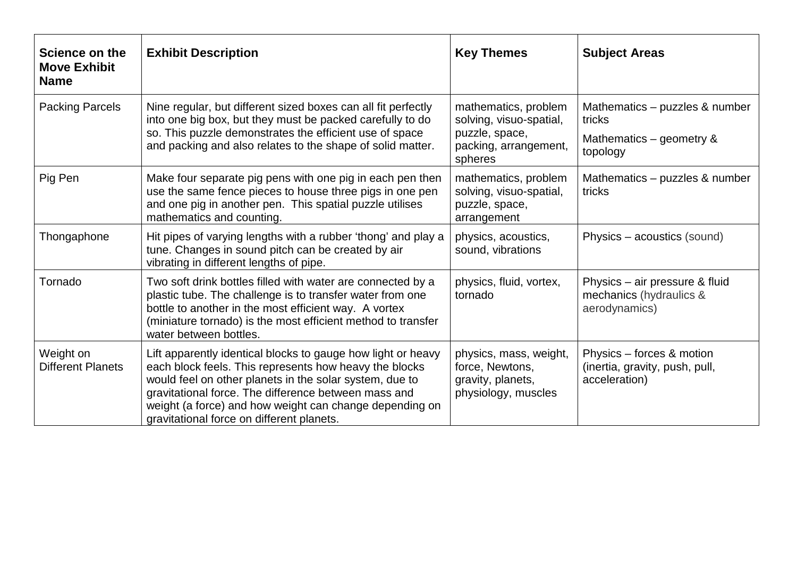| Science on the<br><b>Move Exhibit</b><br><b>Name</b> | <b>Exhibit Description</b>                                                                                                                                                                                                                                                                                                                        | <b>Key Themes</b>                                                                                     | <b>Subject Areas</b>                                                                |
|------------------------------------------------------|---------------------------------------------------------------------------------------------------------------------------------------------------------------------------------------------------------------------------------------------------------------------------------------------------------------------------------------------------|-------------------------------------------------------------------------------------------------------|-------------------------------------------------------------------------------------|
| <b>Packing Parcels</b>                               | Nine regular, but different sized boxes can all fit perfectly<br>into one big box, but they must be packed carefully to do<br>so. This puzzle demonstrates the efficient use of space<br>and packing and also relates to the shape of solid matter.                                                                                               | mathematics, problem<br>solving, visuo-spatial,<br>puzzle, space,<br>packing, arrangement,<br>spheres | Mathematics - puzzles & number<br>tricks<br>Mathematics – geometry $\&$<br>topology |
| Pig Pen                                              | Make four separate pig pens with one pig in each pen then<br>use the same fence pieces to house three pigs in one pen<br>and one pig in another pen. This spatial puzzle utilises<br>mathematics and counting.                                                                                                                                    | mathematics, problem<br>solving, visuo-spatial,<br>puzzle, space,<br>arrangement                      | Mathematics – puzzles & number<br>tricks                                            |
| Thongaphone                                          | Hit pipes of varying lengths with a rubber 'thong' and play a<br>tune. Changes in sound pitch can be created by air<br>vibrating in different lengths of pipe.                                                                                                                                                                                    | physics, acoustics,<br>sound, vibrations                                                              | Physics – acoustics (sound)                                                         |
| Tornado                                              | Two soft drink bottles filled with water are connected by a<br>plastic tube. The challenge is to transfer water from one<br>bottle to another in the most efficient way. A vortex<br>(miniature tornado) is the most efficient method to transfer<br>water between bottles.                                                                       | physics, fluid, vortex,<br>tornado                                                                    | Physics - air pressure & fluid<br>mechanics (hydraulics &<br>aerodynamics)          |
| Weight on<br><b>Different Planets</b>                | Lift apparently identical blocks to gauge how light or heavy<br>each block feels. This represents how heavy the blocks<br>would feel on other planets in the solar system, due to<br>gravitational force. The difference between mass and<br>weight (a force) and how weight can change depending on<br>gravitational force on different planets. | physics, mass, weight,<br>force, Newtons,<br>gravity, planets,<br>physiology, muscles                 | Physics – forces & motion<br>(inertia, gravity, push, pull,<br>acceleration)        |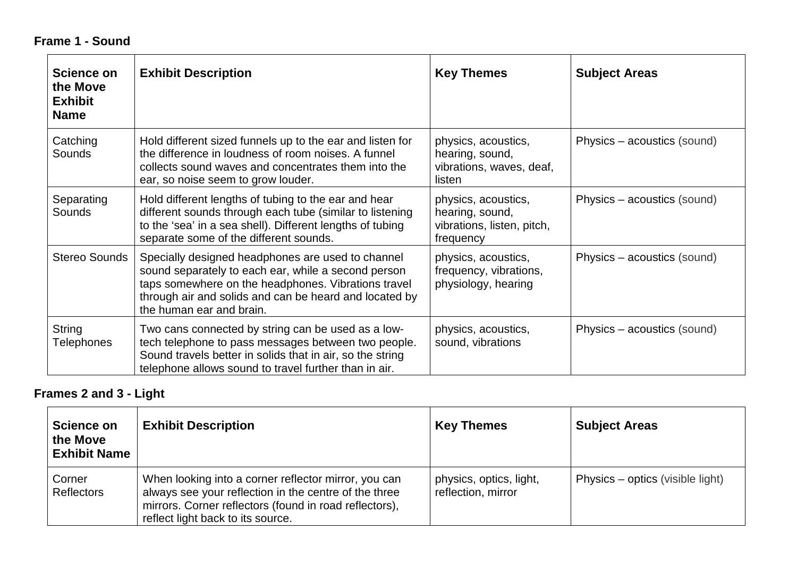# **Frame 1 - Sound**

| Science on<br>the Move<br><b>Exhibit</b><br><b>Name</b> | <b>Exhibit Description</b>                                                                                                                                                                                                                            | <b>Key Themes</b>                                                                 | <b>Subject Areas</b>        |
|---------------------------------------------------------|-------------------------------------------------------------------------------------------------------------------------------------------------------------------------------------------------------------------------------------------------------|-----------------------------------------------------------------------------------|-----------------------------|
| Catching<br>Sounds                                      | Hold different sized funnels up to the ear and listen for<br>the difference in loudness of room noises. A funnel<br>collects sound waves and concentrates them into the<br>ear, so noise seem to grow louder.                                         | physics, acoustics,<br>hearing, sound,<br>vibrations, waves, deaf,<br>listen      | Physics – acoustics (sound) |
| Separating<br><b>Sounds</b>                             | Hold different lengths of tubing to the ear and hear<br>different sounds through each tube (similar to listening<br>to the 'sea' in a sea shell). Different lengths of tubing<br>separate some of the different sounds.                               | physics, acoustics,<br>hearing, sound,<br>vibrations, listen, pitch,<br>frequency | Physics – acoustics (sound) |
| <b>Stereo Sounds</b>                                    | Specially designed headphones are used to channel<br>sound separately to each ear, while a second person<br>taps somewhere on the headphones. Vibrations travel<br>through air and solids and can be heard and located by<br>the human ear and brain. | physics, acoustics,<br>frequency, vibrations,<br>physiology, hearing              | Physics – acoustics (sound) |
| String<br><b>Telephones</b>                             | Two cans connected by string can be used as a low-<br>tech telephone to pass messages between two people.<br>Sound travels better in solids that in air, so the string<br>telephone allows sound to travel further than in air.                       | physics, acoustics,<br>sound, vibrations                                          | Physics – acoustics (sound) |

# **Frames 2 and 3 - Light**

| Science on<br>the Move<br><b>Exhibit Name</b> | <b>Exhibit Description</b>                                                                                                                                                                                   | <b>Key Themes</b>                             | <b>Subject Areas</b>             |
|-----------------------------------------------|--------------------------------------------------------------------------------------------------------------------------------------------------------------------------------------------------------------|-----------------------------------------------|----------------------------------|
| Corner<br>Reflectors                          | When looking into a corner reflector mirror, you can<br>always see your reflection in the centre of the three<br>mirrors. Corner reflectors (found in road reflectors),<br>reflect light back to its source. | physics, optics, light,<br>reflection, mirror | Physics – optics (visible light) |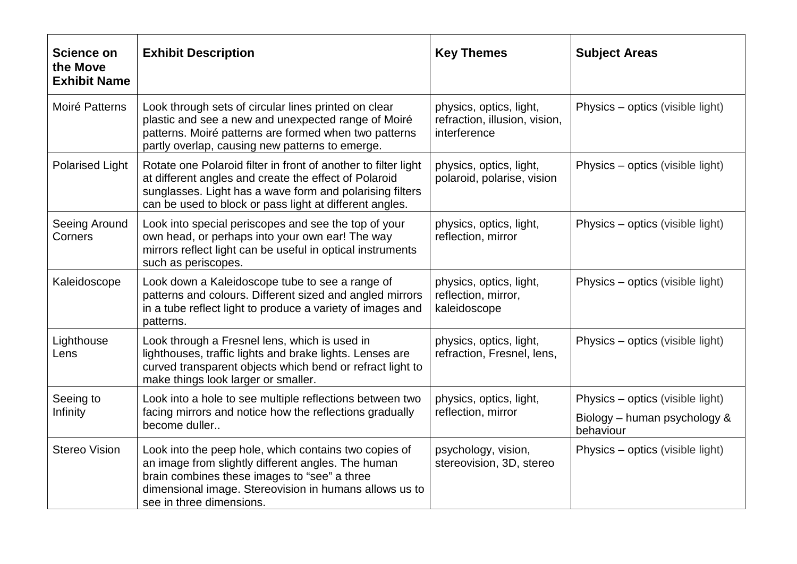| <b>Science on</b><br>the Move<br><b>Exhibit Name</b> | <b>Exhibit Description</b>                                                                                                                                                                                                                        | <b>Key Themes</b>                                                        | <b>Subject Areas</b>             |
|------------------------------------------------------|---------------------------------------------------------------------------------------------------------------------------------------------------------------------------------------------------------------------------------------------------|--------------------------------------------------------------------------|----------------------------------|
| Moiré Patterns                                       | Look through sets of circular lines printed on clear<br>plastic and see a new and unexpected range of Moiré<br>patterns. Moiré patterns are formed when two patterns<br>partly overlap, causing new patterns to emerge.                           | physics, optics, light,<br>refraction, illusion, vision,<br>interference | Physics – optics (visible light) |
| <b>Polarised Light</b>                               | Rotate one Polaroid filter in front of another to filter light<br>at different angles and create the effect of Polaroid<br>sunglasses. Light has a wave form and polarising filters<br>can be used to block or pass light at different angles.    | physics, optics, light,<br>polaroid, polarise, vision                    | Physics – optics (visible light) |
| Seeing Around<br>Corners                             | Look into special periscopes and see the top of your<br>own head, or perhaps into your own ear! The way<br>mirrors reflect light can be useful in optical instruments<br>such as periscopes.                                                      | physics, optics, light,<br>reflection, mirror                            | Physics – optics (visible light) |
| Kaleidoscope                                         | Look down a Kaleidoscope tube to see a range of<br>patterns and colours. Different sized and angled mirrors<br>in a tube reflect light to produce a variety of images and<br>patterns.                                                            | physics, optics, light,<br>reflection, mirror,<br>kaleidoscope           | Physics – optics (visible light) |
| Lighthouse<br>Lens                                   | Look through a Fresnel lens, which is used in<br>lighthouses, traffic lights and brake lights. Lenses are<br>curved transparent objects which bend or refract light to<br>make things look larger or smaller.                                     | physics, optics, light,<br>refraction, Fresnel, lens,                    | Physics – optics (visible light) |
| Seeing to                                            | Look into a hole to see multiple reflections between two                                                                                                                                                                                          | physics, optics, light,<br>reflection, mirror<br>behaviour               | Physics – optics (visible light) |
| Infinity                                             | facing mirrors and notice how the reflections gradually<br>become duller                                                                                                                                                                          |                                                                          | Biology – human psychology &     |
| <b>Stereo Vision</b>                                 | Look into the peep hole, which contains two copies of<br>an image from slightly different angles. The human<br>brain combines these images to "see" a three<br>dimensional image. Stereovision in humans allows us to<br>see in three dimensions. | psychology, vision,<br>stereovision, 3D, stereo                          | Physics – optics (visible light) |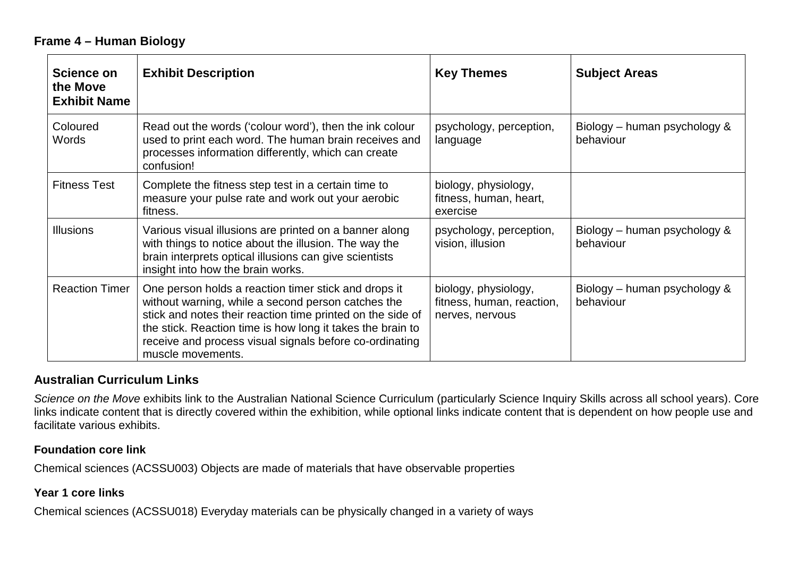### **Frame 4 – Human Biology**

| Science on<br>the Move<br><b>Exhibit Name</b> | <b>Exhibit Description</b>                                                                                                                                                                                                                                                                                             | <b>Key Themes</b>                                                    | <b>Subject Areas</b>                      |
|-----------------------------------------------|------------------------------------------------------------------------------------------------------------------------------------------------------------------------------------------------------------------------------------------------------------------------------------------------------------------------|----------------------------------------------------------------------|-------------------------------------------|
| Coloured<br>Words                             | Read out the words ('colour word'), then the ink colour<br>used to print each word. The human brain receives and<br>processes information differently, which can create<br>confusion!                                                                                                                                  | psychology, perception,<br>language                                  | Biology – human psychology &<br>behaviour |
| <b>Fitness Test</b>                           | Complete the fitness step test in a certain time to<br>measure your pulse rate and work out your aerobic<br>fitness.                                                                                                                                                                                                   | biology, physiology,<br>fitness, human, heart,<br>exercise           |                                           |
| <b>Illusions</b>                              | Various visual illusions are printed on a banner along<br>with things to notice about the illusion. The way the<br>brain interprets optical illusions can give scientists<br>insight into how the brain works.                                                                                                         | psychology, perception,<br>vision, illusion                          | Biology – human psychology &<br>behaviour |
| <b>Reaction Timer</b>                         | One person holds a reaction timer stick and drops it<br>without warning, while a second person catches the<br>stick and notes their reaction time printed on the side of<br>the stick. Reaction time is how long it takes the brain to<br>receive and process visual signals before co-ordinating<br>muscle movements. | biology, physiology,<br>fitness, human, reaction,<br>nerves, nervous | Biology – human psychology &<br>behaviour |

# **Australian Curriculum Links**

*Science on the Move* exhibits link to the Australian National Science Curriculum (particularly Science Inquiry Skills across all school years). Core links indicate content that is directly covered within the exhibition, while optional links indicate content that is dependent on how people use and facilitate various exhibits.

#### **Foundation core link**

Chemical sciences (ACSSU003) Objects are made of materials that have observable properties

#### **Year 1 core links**

Chemical sciences (ACSSU018) Everyday materials can be physically changed in a variety of ways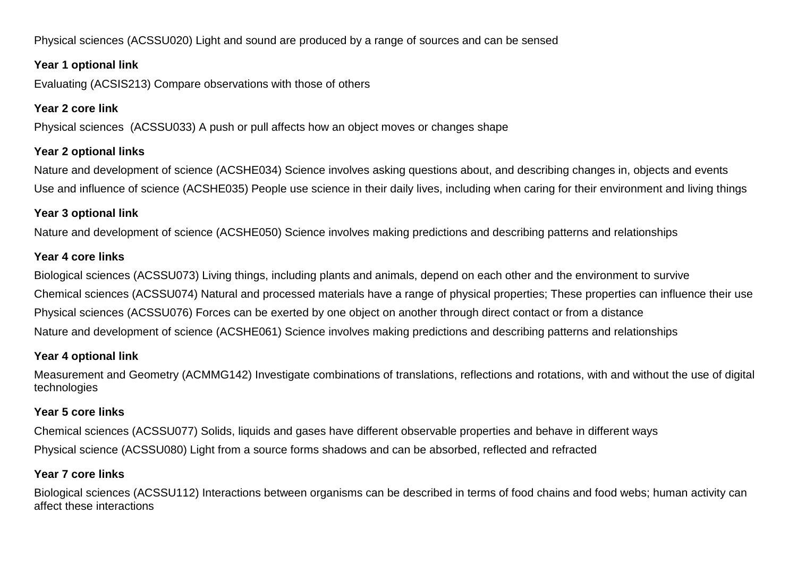Physical sciences (ACSSU020) Light and sound are produced by a range of sources and can be sensed

#### **Year 1 optional link**

Evaluating (ACSIS213) Compare observations with those of others

## **Year 2 core link**

Physical sciences (ACSSU033) A push or pull affects how an object moves or changes shape

#### **Year 2 optional links**

Nature and development of science (ACSHE034) Science involves asking questions about, and describing changes in, objects and events Use and influence of science (ACSHE035) People use science in their daily lives, including when caring for their environment and living things

## **Year 3 optional link**

Nature and development of science (ACSHE050) Science involves making predictions and describing patterns and relationships

## **Year 4 core links**

Biological sciences (ACSSU073) Living things, including plants and animals, depend on each other and the environment to survive Chemical sciences (ACSSU074) Natural and processed materials have a range of physical properties; These properties can influence their use Physical sciences (ACSSU076) Forces can be exerted by one object on another through direct contact or from a distance Nature and development of science (ACSHE061) Science involves making predictions and describing patterns and relationships

## **Year 4 optional link**

Measurement and Geometry (ACMMG142) Investigate combinations of translations, reflections and rotations, with and without the use of digital technologies

#### **Year 5 core links**

Chemical sciences (ACSSU077) Solids, liquids and gases have different observable properties and behave in different ways Physical science (ACSSU080) Light from a source forms shadows and can be absorbed, reflected and refracted

## **Year 7 core links**

Biological sciences (ACSSU112) Interactions between organisms can be described in terms of food chains and food webs; human activity can affect these interactions